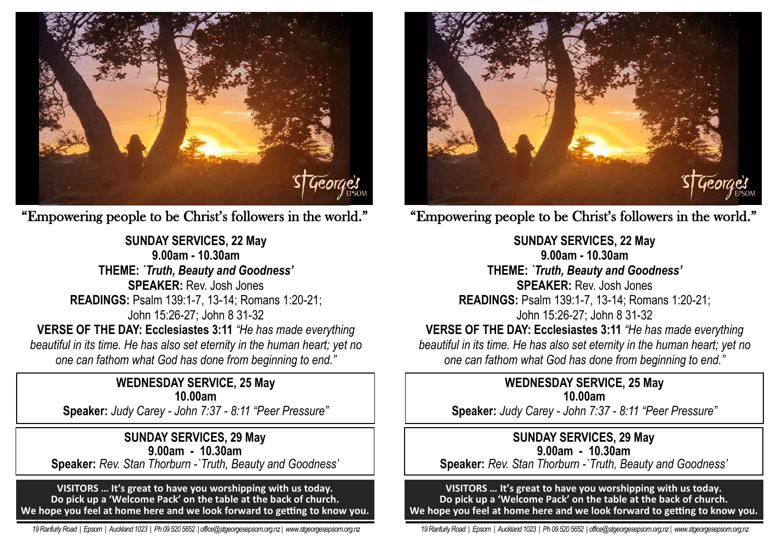

"Empowering people to be Christ's followers in the world."

**SUNDAY SERVICES, 22 May 9.00am - 10.30am THEME:** *`Truth, Beauty and Goodness'* **SPEAKER:** Rev. Josh Jones **READINGS:** Psalm 139:1-7, 13-14; Romans 1:20-21; John 15:26-27; John 8 31-32 **VERSE OF THE DAY: Ecclesiastes 3:11** *"He has made everything beautiful in its time. He has also set eternity in the human heart; yet no one can fathom what God has done from beginning to end."*

# **WEDNESDAY SERVICE, 25 May 10.00am**

**Speaker:** *Judy Carey - John 7:37 - 8:11 "Peer Pressure"* 

**SUNDAY SERVICES, 29 May 9.00am - 10.30am Speaker:** *Rev. Stan Thorburn -`Truth, Beauty and Goodness'*

**VISITORS … It's great to have you worshipping with us today. Do pick up a 'Welcome Pack' on the table at the back of church. We hope you feel at home here and we look forward to getting to know you.**

 *19 Ranfurly Road | Epsom | Auckland 1023 | Ph 09 520 5652 | office@stgeorgesepsom.org.nz | www.stgeorgesepsom.org.nz* 



"Empowering people to be Christ's followers in the world."

**SUNDAY SERVICES, 22 May 9.00am - 10.30am THEME:** *`Truth, Beauty and Goodness'* **SPEAKER:** Rev. Josh Jones **READINGS:** Psalm 139:1-7, 13-14; Romans 1:20-21; John 15:26-27; John 8 31-32 **VERSE OF THE DAY: Ecclesiastes 3:11** *"He has made everything beautiful in its time. He has also set eternity in the human heart; yet no one can fathom what God has done from beginning to end."*

# **WEDNESDAY SERVICE, 25 May 10.00am**

**Speaker:** *Judy Carey - John 7:37 - 8:11 "Peer Pressure"* 

### **SUNDAY SERVICES, 29 May 9.00am - 10.30am**

**Speaker:** *Rev. Stan Thorburn -`Truth, Beauty and Goodness'*

**VISITORS … It's great to have you worshipping with us today. Do pick up a 'Welcome Pack' on the table at the back of church. We hope you feel at home here and we look forward to getting to know you.**

 *19 Ranfurly Road | Epsom | Auckland 1023 | Ph 09 520 5652 | office@stgeorgesepsom.org.nz | www.stgeorgesepsom.org.nz*